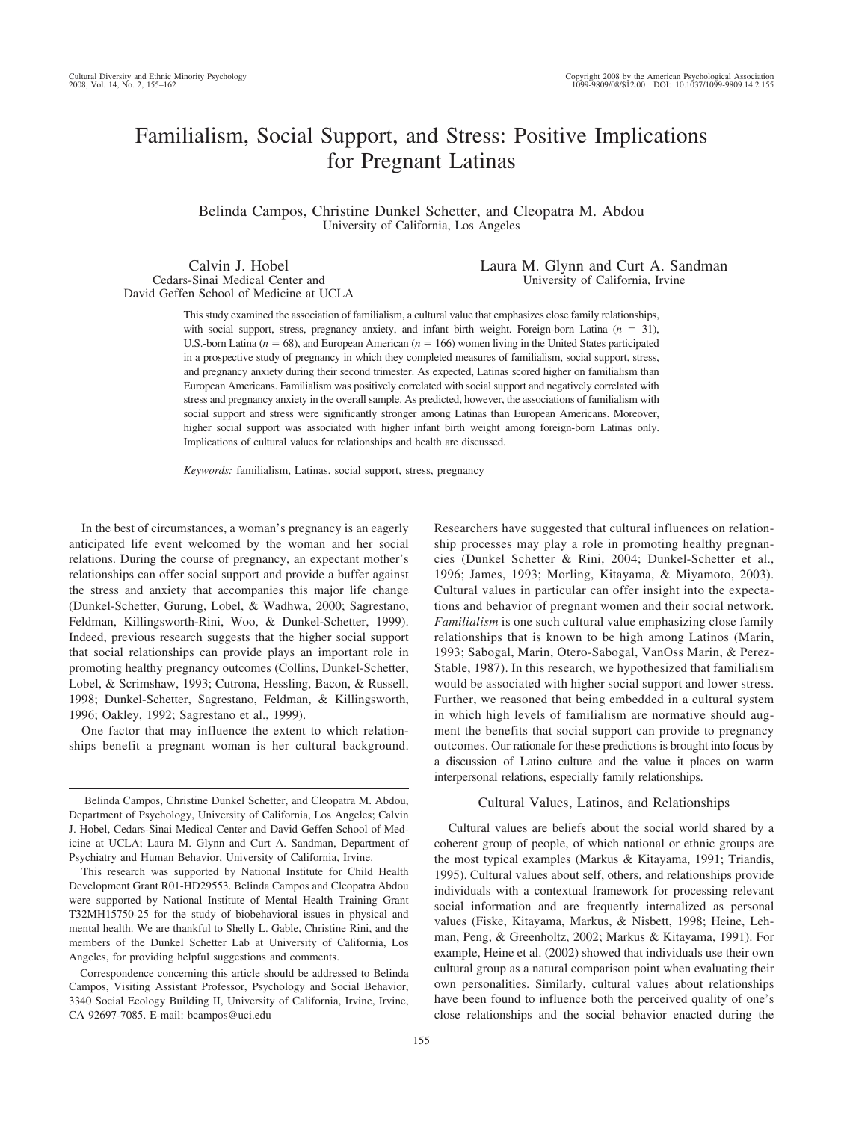# Familialism, Social Support, and Stress: Positive Implications for Pregnant Latinas

Belinda Campos, Christine Dunkel Schetter, and Cleopatra M. Abdou University of California, Los Angeles

Calvin J. Hobel Cedars-Sinai Medical Center and David Geffen School of Medicine at UCLA Laura M. Glynn and Curt A. Sandman University of California, Irvine

This study examined the association of familialism, a cultural value that emphasizes close family relationships, with social support, stress, pregnancy anxiety, and infant birth weight. Foreign-born Latina  $(n = 31)$ , U.S.-born Latina ( $n = 68$ ), and European American ( $n = 166$ ) women living in the United States participated in a prospective study of pregnancy in which they completed measures of familialism, social support, stress, and pregnancy anxiety during their second trimester. As expected, Latinas scored higher on familialism than European Americans. Familialism was positively correlated with social support and negatively correlated with stress and pregnancy anxiety in the overall sample. As predicted, however, the associations of familialism with social support and stress were significantly stronger among Latinas than European Americans. Moreover, higher social support was associated with higher infant birth weight among foreign-born Latinas only. Implications of cultural values for relationships and health are discussed.

*Keywords:* familialism, Latinas, social support, stress, pregnancy

In the best of circumstances, a woman's pregnancy is an eagerly anticipated life event welcomed by the woman and her social relations. During the course of pregnancy, an expectant mother's relationships can offer social support and provide a buffer against the stress and anxiety that accompanies this major life change (Dunkel-Schetter, Gurung, Lobel, & Wadhwa, 2000; Sagrestano, Feldman, Killingsworth-Rini, Woo, & Dunkel-Schetter, 1999). Indeed, previous research suggests that the higher social support that social relationships can provide plays an important role in promoting healthy pregnancy outcomes (Collins, Dunkel-Schetter, Lobel, & Scrimshaw, 1993; Cutrona, Hessling, Bacon, & Russell, 1998; Dunkel-Schetter, Sagrestano, Feldman, & Killingsworth, 1996; Oakley, 1992; Sagrestano et al., 1999).

One factor that may influence the extent to which relationships benefit a pregnant woman is her cultural background. Researchers have suggested that cultural influences on relationship processes may play a role in promoting healthy pregnancies (Dunkel Schetter & Rini, 2004; Dunkel-Schetter et al., 1996; James, 1993; Morling, Kitayama, & Miyamoto, 2003). Cultural values in particular can offer insight into the expectations and behavior of pregnant women and their social network. *Familialism* is one such cultural value emphasizing close family relationships that is known to be high among Latinos (Marin, 1993; Sabogal, Marin, Otero-Sabogal, VanOss Marin, & Perez-Stable, 1987). In this research, we hypothesized that familialism would be associated with higher social support and lower stress. Further, we reasoned that being embedded in a cultural system in which high levels of familialism are normative should augment the benefits that social support can provide to pregnancy outcomes. Our rationale for these predictions is brought into focus by a discussion of Latino culture and the value it places on warm interpersonal relations, especially family relationships.

# Cultural Values, Latinos, and Relationships

Cultural values are beliefs about the social world shared by a coherent group of people, of which national or ethnic groups are the most typical examples (Markus & Kitayama, 1991; Triandis, 1995). Cultural values about self, others, and relationships provide individuals with a contextual framework for processing relevant social information and are frequently internalized as personal values (Fiske, Kitayama, Markus, & Nisbett, 1998; Heine, Lehman, Peng, & Greenholtz, 2002; Markus & Kitayama, 1991). For example, Heine et al. (2002) showed that individuals use their own cultural group as a natural comparison point when evaluating their own personalities. Similarly, cultural values about relationships have been found to influence both the perceived quality of one's close relationships and the social behavior enacted during the

Belinda Campos, Christine Dunkel Schetter, and Cleopatra M. Abdou, Department of Psychology, University of California, Los Angeles; Calvin J. Hobel, Cedars-Sinai Medical Center and David Geffen School of Medicine at UCLA; Laura M. Glynn and Curt A. Sandman, Department of Psychiatry and Human Behavior, University of California, Irvine.

This research was supported by National Institute for Child Health Development Grant R01-HD29553. Belinda Campos and Cleopatra Abdou were supported by National Institute of Mental Health Training Grant T32MH15750-25 for the study of biobehavioral issues in physical and mental health. We are thankful to Shelly L. Gable, Christine Rini, and the members of the Dunkel Schetter Lab at University of California, Los Angeles, for providing helpful suggestions and comments.

Correspondence concerning this article should be addressed to Belinda Campos, Visiting Assistant Professor, Psychology and Social Behavior, 3340 Social Ecology Building II, University of California, Irvine, Irvine, CA 92697-7085. E-mail: bcampos@uci.edu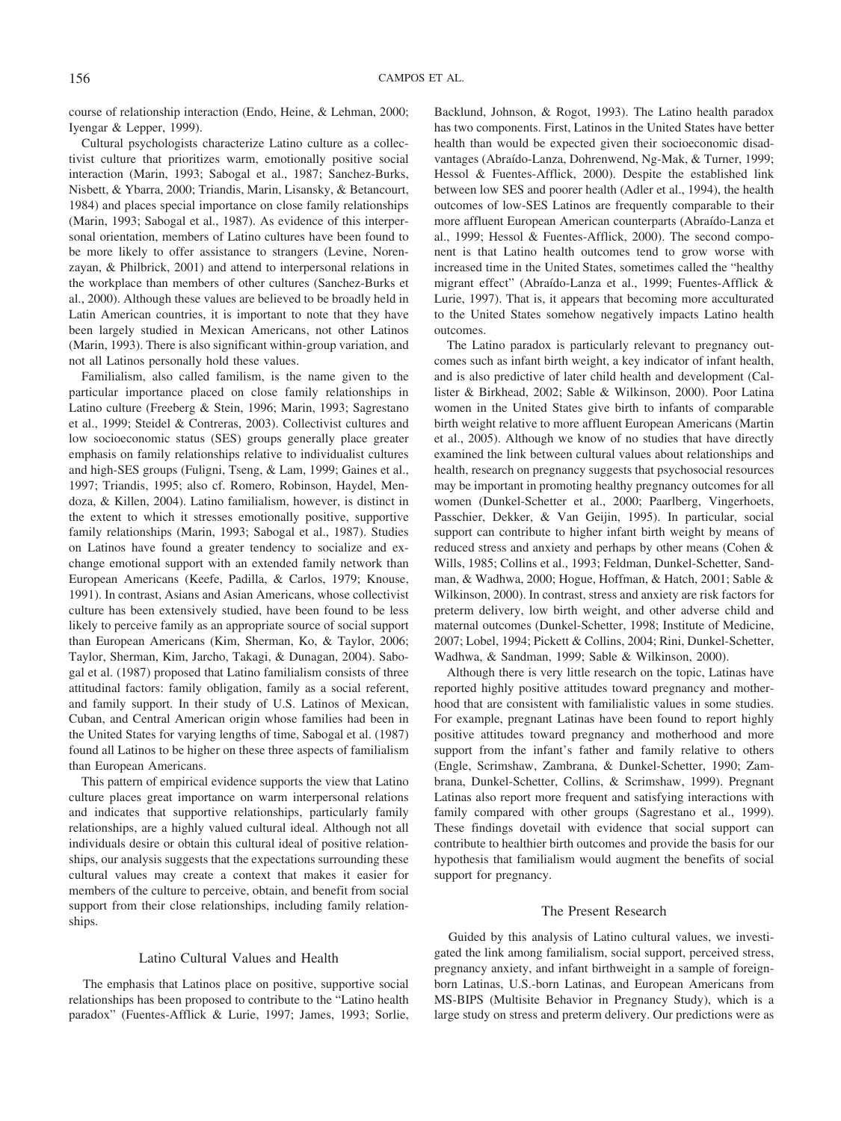course of relationship interaction (Endo, Heine, & Lehman, 2000; Iyengar & Lepper, 1999).

Cultural psychologists characterize Latino culture as a collectivist culture that prioritizes warm, emotionally positive social interaction (Marin, 1993; Sabogal et al., 1987; Sanchez-Burks, Nisbett, & Ybarra, 2000; Triandis, Marin, Lisansky, & Betancourt, 1984) and places special importance on close family relationships (Marin, 1993; Sabogal et al., 1987). As evidence of this interpersonal orientation, members of Latino cultures have been found to be more likely to offer assistance to strangers (Levine, Norenzayan, & Philbrick, 2001) and attend to interpersonal relations in the workplace than members of other cultures (Sanchez-Burks et al., 2000). Although these values are believed to be broadly held in Latin American countries, it is important to note that they have been largely studied in Mexican Americans, not other Latinos (Marin, 1993). There is also significant within-group variation, and not all Latinos personally hold these values.

Familialism, also called familism, is the name given to the particular importance placed on close family relationships in Latino culture (Freeberg & Stein, 1996; Marin, 1993; Sagrestano et al., 1999; Steidel & Contreras, 2003). Collectivist cultures and low socioeconomic status (SES) groups generally place greater emphasis on family relationships relative to individualist cultures and high-SES groups (Fuligni, Tseng, & Lam, 1999; Gaines et al., 1997; Triandis, 1995; also cf. Romero, Robinson, Haydel, Mendoza, & Killen, 2004). Latino familialism, however, is distinct in the extent to which it stresses emotionally positive, supportive family relationships (Marin, 1993; Sabogal et al., 1987). Studies on Latinos have found a greater tendency to socialize and exchange emotional support with an extended family network than European Americans (Keefe, Padilla, & Carlos, 1979; Knouse, 1991). In contrast, Asians and Asian Americans, whose collectivist culture has been extensively studied, have been found to be less likely to perceive family as an appropriate source of social support than European Americans (Kim, Sherman, Ko, & Taylor, 2006; Taylor, Sherman, Kim, Jarcho, Takagi, & Dunagan, 2004). Sabogal et al. (1987) proposed that Latino familialism consists of three attitudinal factors: family obligation, family as a social referent, and family support. In their study of U.S. Latinos of Mexican, Cuban, and Central American origin whose families had been in the United States for varying lengths of time, Sabogal et al. (1987) found all Latinos to be higher on these three aspects of familialism than European Americans.

This pattern of empirical evidence supports the view that Latino culture places great importance on warm interpersonal relations and indicates that supportive relationships, particularly family relationships, are a highly valued cultural ideal. Although not all individuals desire or obtain this cultural ideal of positive relationships, our analysis suggests that the expectations surrounding these cultural values may create a context that makes it easier for members of the culture to perceive, obtain, and benefit from social support from their close relationships, including family relationships.

# Latino Cultural Values and Health

The emphasis that Latinos place on positive, supportive social relationships has been proposed to contribute to the "Latino health paradox" (Fuentes-Afflick & Lurie, 1997; James, 1993; Sorlie, Backlund, Johnson, & Rogot, 1993). The Latino health paradox has two components. First, Latinos in the United States have better health than would be expected given their socioeconomic disadvantages (Abraído-Lanza, Dohrenwend, Ng-Mak, & Turner, 1999; Hessol & Fuentes-Afflick, 2000). Despite the established link between low SES and poorer health (Adler et al., 1994), the health outcomes of low-SES Latinos are frequently comparable to their more affluent European American counterparts (Abraı´do-Lanza et al., 1999; Hessol & Fuentes-Afflick, 2000). The second component is that Latino health outcomes tend to grow worse with increased time in the United States, sometimes called the "healthy migrant effect" (Abraı´do-Lanza et al., 1999; Fuentes-Afflick & Lurie, 1997). That is, it appears that becoming more acculturated to the United States somehow negatively impacts Latino health outcomes.

The Latino paradox is particularly relevant to pregnancy outcomes such as infant birth weight, a key indicator of infant health, and is also predictive of later child health and development (Callister & Birkhead, 2002; Sable & Wilkinson, 2000). Poor Latina women in the United States give birth to infants of comparable birth weight relative to more affluent European Americans (Martin et al., 2005). Although we know of no studies that have directly examined the link between cultural values about relationships and health, research on pregnancy suggests that psychosocial resources may be important in promoting healthy pregnancy outcomes for all women (Dunkel-Schetter et al., 2000; Paarlberg, Vingerhoets, Passchier, Dekker, & Van Geijin, 1995). In particular, social support can contribute to higher infant birth weight by means of reduced stress and anxiety and perhaps by other means (Cohen & Wills, 1985; Collins et al., 1993; Feldman, Dunkel-Schetter, Sandman, & Wadhwa, 2000; Hogue, Hoffman, & Hatch, 2001; Sable & Wilkinson, 2000). In contrast, stress and anxiety are risk factors for preterm delivery, low birth weight, and other adverse child and maternal outcomes (Dunkel-Schetter, 1998; Institute of Medicine, 2007; Lobel, 1994; Pickett & Collins, 2004; Rini, Dunkel-Schetter, Wadhwa, & Sandman, 1999; Sable & Wilkinson, 2000).

Although there is very little research on the topic, Latinas have reported highly positive attitudes toward pregnancy and motherhood that are consistent with familialistic values in some studies. For example, pregnant Latinas have been found to report highly positive attitudes toward pregnancy and motherhood and more support from the infant's father and family relative to others (Engle, Scrimshaw, Zambrana, & Dunkel-Schetter, 1990; Zambrana, Dunkel-Schetter, Collins, & Scrimshaw, 1999). Pregnant Latinas also report more frequent and satisfying interactions with family compared with other groups (Sagrestano et al., 1999). These findings dovetail with evidence that social support can contribute to healthier birth outcomes and provide the basis for our hypothesis that familialism would augment the benefits of social support for pregnancy.

## The Present Research

Guided by this analysis of Latino cultural values, we investigated the link among familialism, social support, perceived stress, pregnancy anxiety, and infant birthweight in a sample of foreignborn Latinas, U.S.-born Latinas, and European Americans from MS-BIPS (Multisite Behavior in Pregnancy Study), which is a large study on stress and preterm delivery. Our predictions were as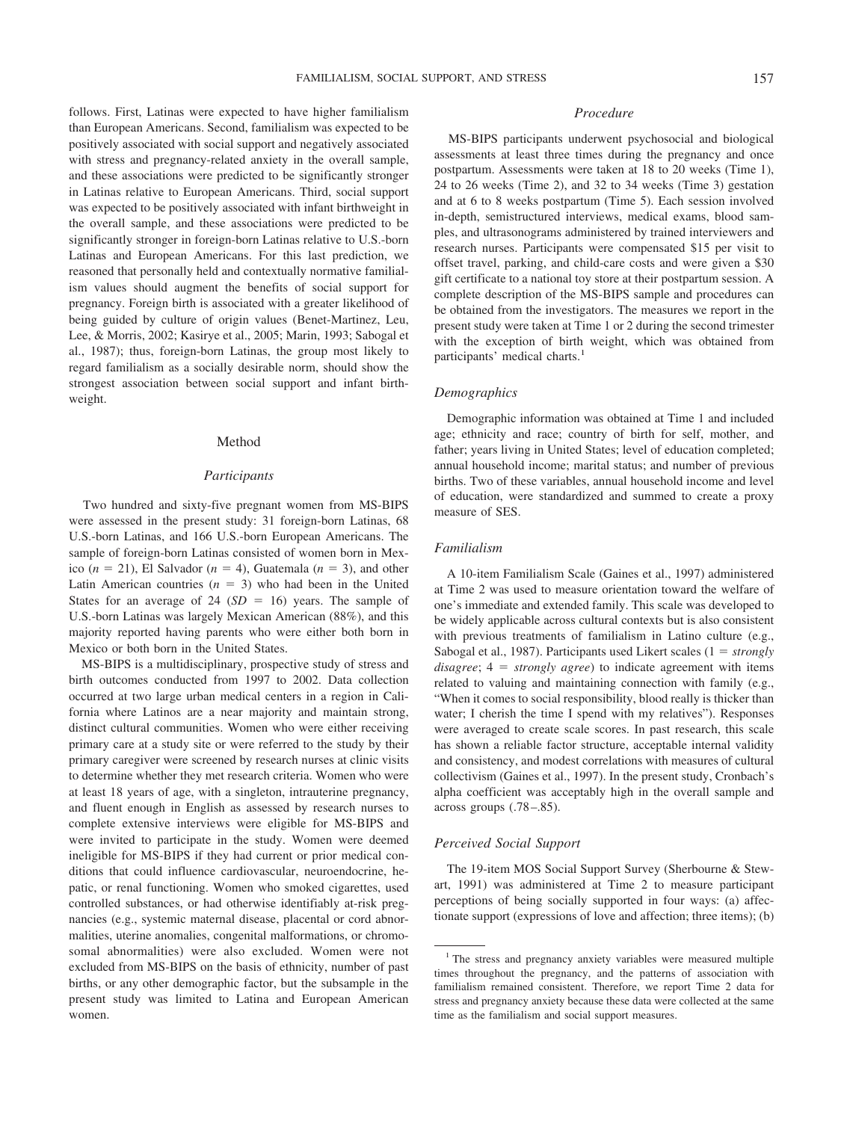follows. First, Latinas were expected to have higher familialism than European Americans. Second, familialism was expected to be positively associated with social support and negatively associated with stress and pregnancy-related anxiety in the overall sample, and these associations were predicted to be significantly stronger in Latinas relative to European Americans. Third, social support was expected to be positively associated with infant birthweight in the overall sample, and these associations were predicted to be significantly stronger in foreign-born Latinas relative to U.S.-born Latinas and European Americans. For this last prediction, we reasoned that personally held and contextually normative familialism values should augment the benefits of social support for pregnancy. Foreign birth is associated with a greater likelihood of being guided by culture of origin values (Benet-Martinez, Leu, Lee, & Morris, 2002; Kasirye et al., 2005; Marin, 1993; Sabogal et al., 1987); thus, foreign-born Latinas, the group most likely to regard familialism as a socially desirable norm, should show the strongest association between social support and infant birthweight.

## Method

#### *Participants*

Two hundred and sixty-five pregnant women from MS-BIPS were assessed in the present study: 31 foreign-born Latinas, 68 U.S.-born Latinas, and 166 U.S.-born European Americans. The sample of foreign-born Latinas consisted of women born in Mexico ( $n = 21$ ), El Salvador ( $n = 4$ ), Guatemala ( $n = 3$ ), and other Latin American countries  $(n = 3)$  who had been in the United States for an average of 24  $(SD = 16)$  years. The sample of U.S.-born Latinas was largely Mexican American (88%), and this majority reported having parents who were either both born in Mexico or both born in the United States.

MS-BIPS is a multidisciplinary, prospective study of stress and birth outcomes conducted from 1997 to 2002. Data collection occurred at two large urban medical centers in a region in California where Latinos are a near majority and maintain strong, distinct cultural communities. Women who were either receiving primary care at a study site or were referred to the study by their primary caregiver were screened by research nurses at clinic visits to determine whether they met research criteria. Women who were at least 18 years of age, with a singleton, intrauterine pregnancy, and fluent enough in English as assessed by research nurses to complete extensive interviews were eligible for MS-BIPS and were invited to participate in the study. Women were deemed ineligible for MS-BIPS if they had current or prior medical conditions that could influence cardiovascular, neuroendocrine, hepatic, or renal functioning. Women who smoked cigarettes, used controlled substances, or had otherwise identifiably at-risk pregnancies (e.g., systemic maternal disease, placental or cord abnormalities, uterine anomalies, congenital malformations, or chromosomal abnormalities) were also excluded. Women were not excluded from MS-BIPS on the basis of ethnicity, number of past births, or any other demographic factor, but the subsample in the present study was limited to Latina and European American women.

# *Procedure*

MS-BIPS participants underwent psychosocial and biological assessments at least three times during the pregnancy and once postpartum. Assessments were taken at 18 to 20 weeks (Time 1), 24 to 26 weeks (Time 2), and 32 to 34 weeks (Time 3) gestation and at 6 to 8 weeks postpartum (Time 5). Each session involved in-depth, semistructured interviews, medical exams, blood samples, and ultrasonograms administered by trained interviewers and research nurses. Participants were compensated \$15 per visit to offset travel, parking, and child-care costs and were given a \$30 gift certificate to a national toy store at their postpartum session. A complete description of the MS-BIPS sample and procedures can be obtained from the investigators. The measures we report in the present study were taken at Time 1 or 2 during the second trimester with the exception of birth weight, which was obtained from participants' medical charts.<sup>1</sup>

#### *Demographics*

Demographic information was obtained at Time 1 and included age; ethnicity and race; country of birth for self, mother, and father; years living in United States; level of education completed; annual household income; marital status; and number of previous births. Two of these variables, annual household income and level of education, were standardized and summed to create a proxy measure of SES.

#### *Familialism*

A 10-item Familialism Scale (Gaines et al., 1997) administered at Time 2 was used to measure orientation toward the welfare of one's immediate and extended family. This scale was developed to be widely applicable across cultural contexts but is also consistent with previous treatments of familialism in Latino culture (e.g., Sabogal et al., 1987). Participants used Likert scales (1 *strongly disagree*; 4 *strongly agree*) to indicate agreement with items related to valuing and maintaining connection with family (e.g., "When it comes to social responsibility, blood really is thicker than water; I cherish the time I spend with my relatives"). Responses were averaged to create scale scores. In past research, this scale has shown a reliable factor structure, acceptable internal validity and consistency, and modest correlations with measures of cultural collectivism (Gaines et al., 1997). In the present study, Cronbach's alpha coefficient was acceptably high in the overall sample and across groups (.78–.85).

#### *Perceived Social Support*

The 19-item MOS Social Support Survey (Sherbourne & Stewart, 1991) was administered at Time 2 to measure participant perceptions of being socially supported in four ways: (a) affectionate support (expressions of love and affection; three items); (b)

<sup>&</sup>lt;sup>1</sup> The stress and pregnancy anxiety variables were measured multiple times throughout the pregnancy, and the patterns of association with familialism remained consistent. Therefore, we report Time 2 data for stress and pregnancy anxiety because these data were collected at the same time as the familialism and social support measures.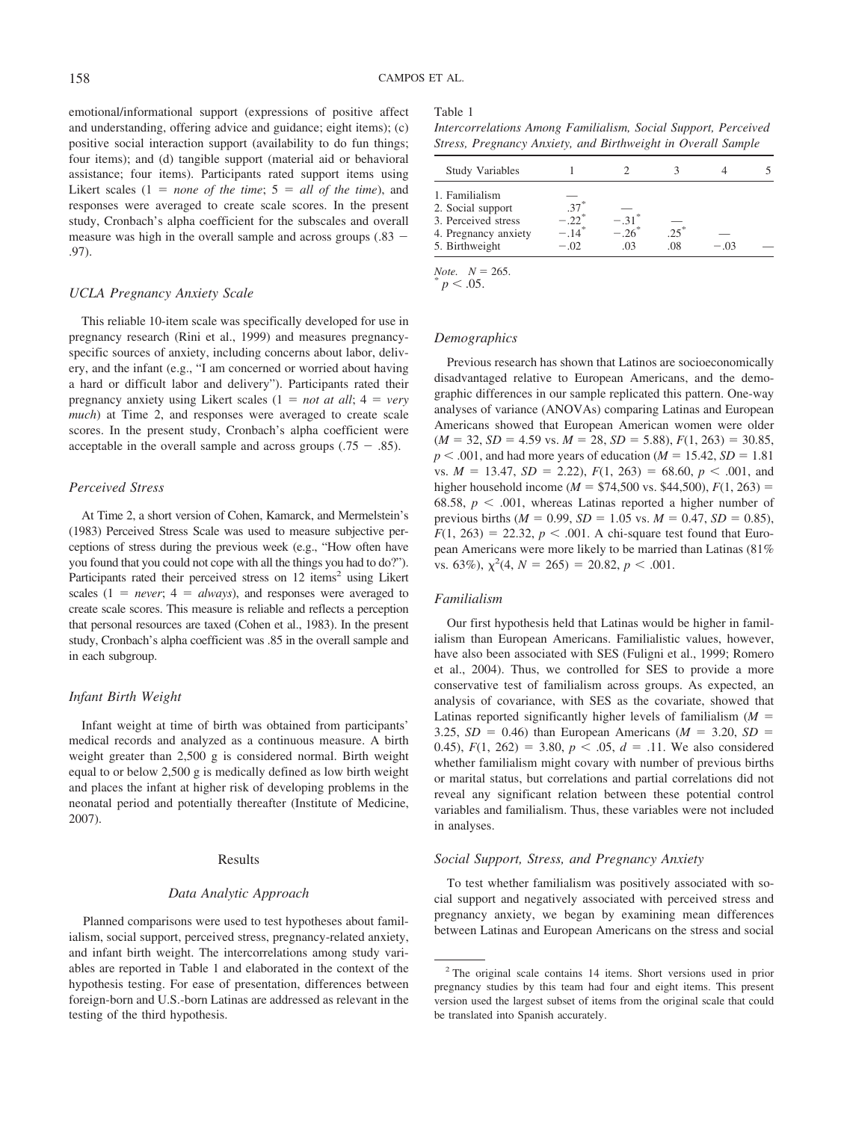emotional/informational support (expressions of positive affect and understanding, offering advice and guidance; eight items); (c) positive social interaction support (availability to do fun things; four items); and (d) tangible support (material aid or behavioral assistance; four items). Participants rated support items using Likert scales  $(1 = none of the time; 5 = all of the time)$ , and responses were averaged to create scale scores. In the present study, Cronbach's alpha coefficient for the subscales and overall measure was high in the overall sample and across groups  $(.83 -$ .97).

## *UCLA Pregnancy Anxiety Scale*

This reliable 10-item scale was specifically developed for use in pregnancy research (Rini et al., 1999) and measures pregnancyspecific sources of anxiety, including concerns about labor, delivery, and the infant (e.g., "I am concerned or worried about having a hard or difficult labor and delivery"). Participants rated their pregnancy anxiety using Likert scales  $(1 = not at all; 4 = very$ *much*) at Time 2, and responses were averaged to create scale scores. In the present study, Cronbach's alpha coefficient were acceptable in the overall sample and across groups  $(.75 - .85)$ .

## *Perceived Stress*

At Time 2, a short version of Cohen, Kamarck, and Mermelstein's (1983) Perceived Stress Scale was used to measure subjective perceptions of stress during the previous week (e.g., "How often have you found that you could not cope with all the things you had to do?"). Participants rated their perceived stress on 12 items<sup>2</sup> using Likert scales  $(1 = never, 4 = always)$ , and responses were averaged to create scale scores. This measure is reliable and reflects a perception that personal resources are taxed (Cohen et al., 1983). In the present study, Cronbach's alpha coefficient was .85 in the overall sample and in each subgroup.

## *Infant Birth Weight*

Infant weight at time of birth was obtained from participants' medical records and analyzed as a continuous measure. A birth weight greater than 2,500 g is considered normal. Birth weight equal to or below 2,500 g is medically defined as low birth weight and places the infant at higher risk of developing problems in the neonatal period and potentially thereafter (Institute of Medicine, 2007).

## Results

## *Data Analytic Approach*

Planned comparisons were used to test hypotheses about familialism, social support, perceived stress, pregnancy-related anxiety, and infant birth weight. The intercorrelations among study variables are reported in Table 1 and elaborated in the context of the hypothesis testing. For ease of presentation, differences between foreign-born and U.S.-born Latinas are addressed as relevant in the testing of the third hypothesis.

#### Table 1

*Intercorrelations Among Familialism, Social Support, Perceived Stress, Pregnancy Anxiety, and Birthweight in Overall Sample*

| <b>Study Variables</b>                                                                               |                                                                |                                       |               |        |  |
|------------------------------------------------------------------------------------------------------|----------------------------------------------------------------|---------------------------------------|---------------|--------|--|
| 1. Familialism<br>2. Social support<br>3. Perceived stress<br>4. Pregnancy anxiety<br>5. Birthweight | $.37*$<br>$-.22$ <sup>*</sup><br>$-.14$ <sup>*</sup><br>$-.02$ | $-.31$ <sup>*</sup><br>$-.26*$<br>.03 | $.25*$<br>.08 | $-.03$ |  |

*Note.*  $N = 265$ .<br> *\**  $p < .05$ .

#### *Demographics*

Previous research has shown that Latinos are socioeconomically disadvantaged relative to European Americans, and the demographic differences in our sample replicated this pattern. One-way analyses of variance (ANOVAs) comparing Latinas and European Americans showed that European American women were older  $(M = 32, SD = 4.59$  vs.  $M = 28, SD = 5.88$ ,  $F(1, 263) = 30.85$ ,  $p < .001$ , and had more years of education ( $M = 15.42$ ,  $SD = 1.81$ ) vs.  $M = 13.47$ ,  $SD = 2.22$ ),  $F(1, 263) = 68.60$ ,  $p < .001$ , and higher household income ( $M = $74,500$  vs. \$44,500),  $F(1, 263) =$ 68.58,  $p < .001$ , whereas Latinas reported a higher number of previous births ( $M = 0.99$ ,  $SD = 1.05$  vs.  $M = 0.47$ ,  $SD = 0.85$ ),  $F(1, 263) = 22.32, p < .001$ . A chi-square test found that European Americans were more likely to be married than Latinas (81% vs. 63%),  $\chi^2(4, N = 265) = 20.82, p < .001$ .

# *Familialism*

Our first hypothesis held that Latinas would be higher in familialism than European Americans. Familialistic values, however, have also been associated with SES (Fuligni et al., 1999; Romero et al., 2004). Thus, we controlled for SES to provide a more conservative test of familialism across groups. As expected, an analysis of covariance, with SES as the covariate, showed that Latinas reported significantly higher levels of familialism (*M* 3.25,  $SD = 0.46$ ) than European Americans ( $M = 3.20$ ,  $SD =$ 0.45),  $F(1, 262) = 3.80, p < .05, d = .11$ . We also considered whether familialism might covary with number of previous births or marital status, but correlations and partial correlations did not reveal any significant relation between these potential control variables and familialism. Thus, these variables were not included in analyses.

#### *Social Support, Stress, and Pregnancy Anxiety*

To test whether familialism was positively associated with social support and negatively associated with perceived stress and pregnancy anxiety, we began by examining mean differences between Latinas and European Americans on the stress and social

<sup>2</sup> The original scale contains 14 items. Short versions used in prior pregnancy studies by this team had four and eight items. This present version used the largest subset of items from the original scale that could be translated into Spanish accurately.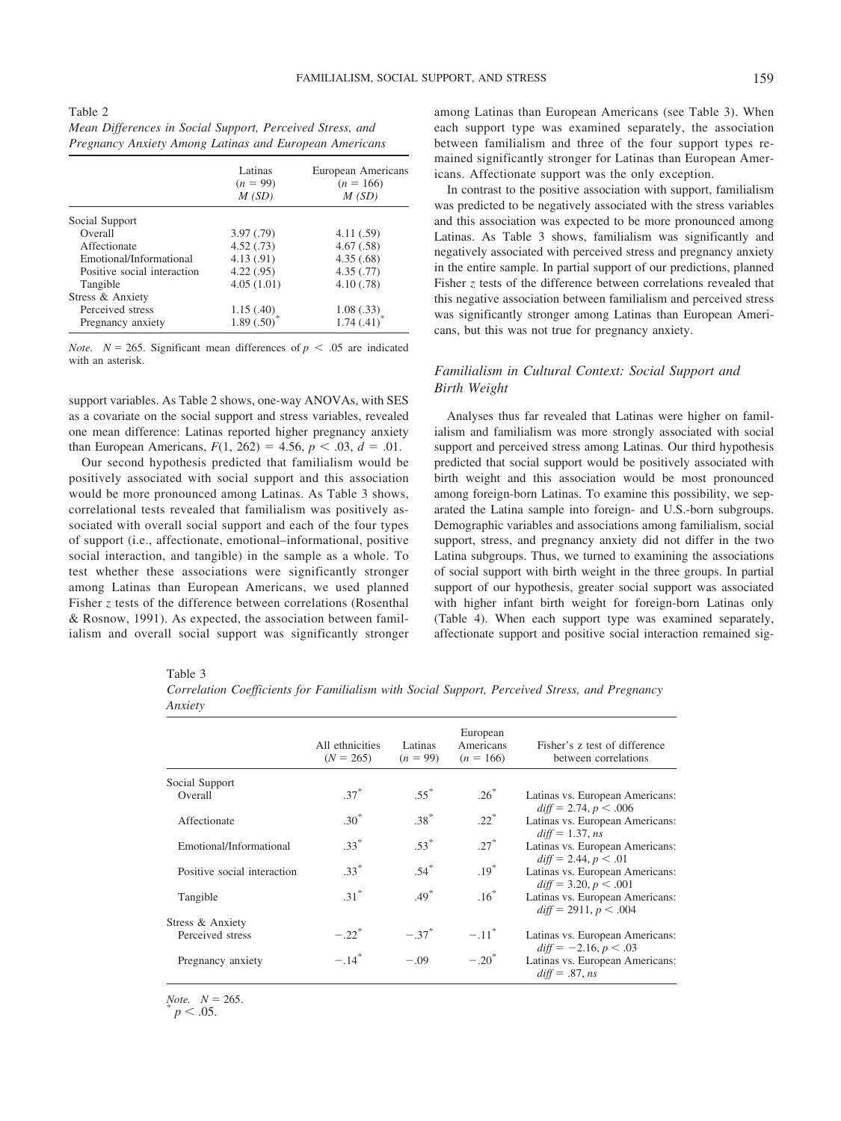Table 2 *Mean Differences in Social Support, Perceived Stress, and Pregnancy Anxiety Among Latinas and European Americans*

|                             | Latinas<br>$(n = 99)$<br>M(SD) | European Americans<br>$(n = 166)$<br>M(SD) |
|-----------------------------|--------------------------------|--------------------------------------------|
| Social Support              |                                |                                            |
| Overall                     | 3.97(0.79)                     | 4.11(.59)                                  |
| Affectionate                | 4.52(0.73)                     | 4.67(.58)                                  |
| Emotional/Informational     | 4.13(.91)                      | 4.35(.68)                                  |
| Positive social interaction | 4.22(.95)                      | 4.35(.77)                                  |
| Tangible                    | 4.05(1.01)                     | 4.10(0.78)                                 |
| Stress & Anxiety            |                                |                                            |
| Perceived stress            | 1.15(0.40)                     | 1.08(.33)                                  |
| Pregnancy anxiety           | 1.89(.50)                      | 1.74(0.41)                                 |

*Note.*  $N = 265$ . Significant mean differences of  $p < .05$  are indicated with an asterisk.

support variables. As Table 2 shows, one-way ANOVAs, with SES as a covariate on the social support and stress variables, revealed one mean difference: Latinas reported higher pregnancy anxiety than European Americans,  $F(1, 262) = 4.56$ ,  $p < .03$ ,  $d = .01$ .

Our second hypothesis predicted that familialism would be positively associated with social support and this association would be more pronounced among Latinas. As Table 3 shows, correlational tests revealed that familialism was positively associated with overall social support and each of the four types of support (i.e., affectionate, emotional–informational, positive social interaction, and tangible) in the sample as a whole. To test whether these associations were significantly stronger among Latinas than European Americans, we used planned Fisher *z* tests of the difference between correlations (Rosenthal & Rosnow, 1991). As expected, the association between familialism and overall social support was significantly stronger among Latinas than European Americans (see Table 3). When each support type was examined separately, the association between familialism and three of the four support types remained significantly stronger for Latinas than European Americans. Affectionate support was the only exception.

In contrast to the positive association with support, familialism was predicted to be negatively associated with the stress variables and this association was expected to be more pronounced among Latinas. As Table 3 shows, familialism was significantly and negatively associated with perceived stress and pregnancy anxiety in the entire sample. In partial support of our predictions, planned Fisher *z* tests of the difference between correlations revealed that this negative association between familialism and perceived stress was significantly stronger among Latinas than European Americans, but this was not true for pregnancy anxiety.

# *Familialism in Cultural Context: Social Support and Birth Weight*

Analyses thus far revealed that Latinas were higher on familialism and familialism was more strongly associated with social support and perceived stress among Latinas. Our third hypothesis predicted that social support would be positively associated with birth weight and this association would be most pronounced among foreign-born Latinas. To examine this possibility, we separated the Latina sample into foreign- and U.S.-born subgroups. Demographic variables and associations among familialism, social support, stress, and pregnancy anxiety did not differ in the two Latina subgroups. Thus, we turned to examining the associations of social support with birth weight in the three groups. In partial support of our hypothesis, greater social support was associated with higher infant birth weight for foreign-born Latinas only (Table 4). When each support type was examined separately, affectionate support and positive social interaction remained sig-

| ۰, |  |
|----|--|
|    |  |

*Correlation Coefficients for Familialism with Social Support, Perceived Stress, and Pregnancy Anxiety*

|                             | All ethnicities<br>$(N = 265)$ | Latinas<br>$(n = 99)$ | European<br>Americans<br>$(n = 166)$ | Fisher's z test of difference<br>between correlations      |
|-----------------------------|--------------------------------|-----------------------|--------------------------------------|------------------------------------------------------------|
| Social Support              |                                |                       |                                      |                                                            |
| Overall                     | $37*$                          | $.55^*$               | $.26*$                               | Latinas vs. European Americans:<br>$diff = 2.74, p < .006$ |
| Affectionate                | $30^*$                         | $.38*$                | $.22*$                               | Latinas vs. European Americans:<br>$diff = 1.37$ , ns      |
| Emotional/Informational     | $.33*$                         | $.53*$                | $.27*$                               | Latinas vs. European Americans:<br>$diff = 2.44, p < .01$  |
| Positive social interaction | $33*$                          | $.54*$                | $.19*$                               | Latinas vs. European Americans:<br>$diff = 3.20, p < .001$ |
| Tangible                    | $.31*$                         | $.49*$                | $.16*$                               | Latinas vs. European Americans:<br>$diff = 2911, p < .004$ |
| Stress & Anxiety            |                                |                       |                                      |                                                            |
| Perceived stress            | $-.22$ <sup>*</sup>            | $-37$ <sup>*</sup>    | $-.11$ <sup>*</sup>                  | Latinas vs. European Americans:<br>$diff = -2.16, p < .03$ |
| Pregnancy anxiety           | $-14$ <sup>*</sup>             | $-.09$                | $-20^*$                              | Latinas vs. European Americans:<br>$diff = .87$ , ns       |

*Note.*  $N = 265$ .<br>  $p < .05$ .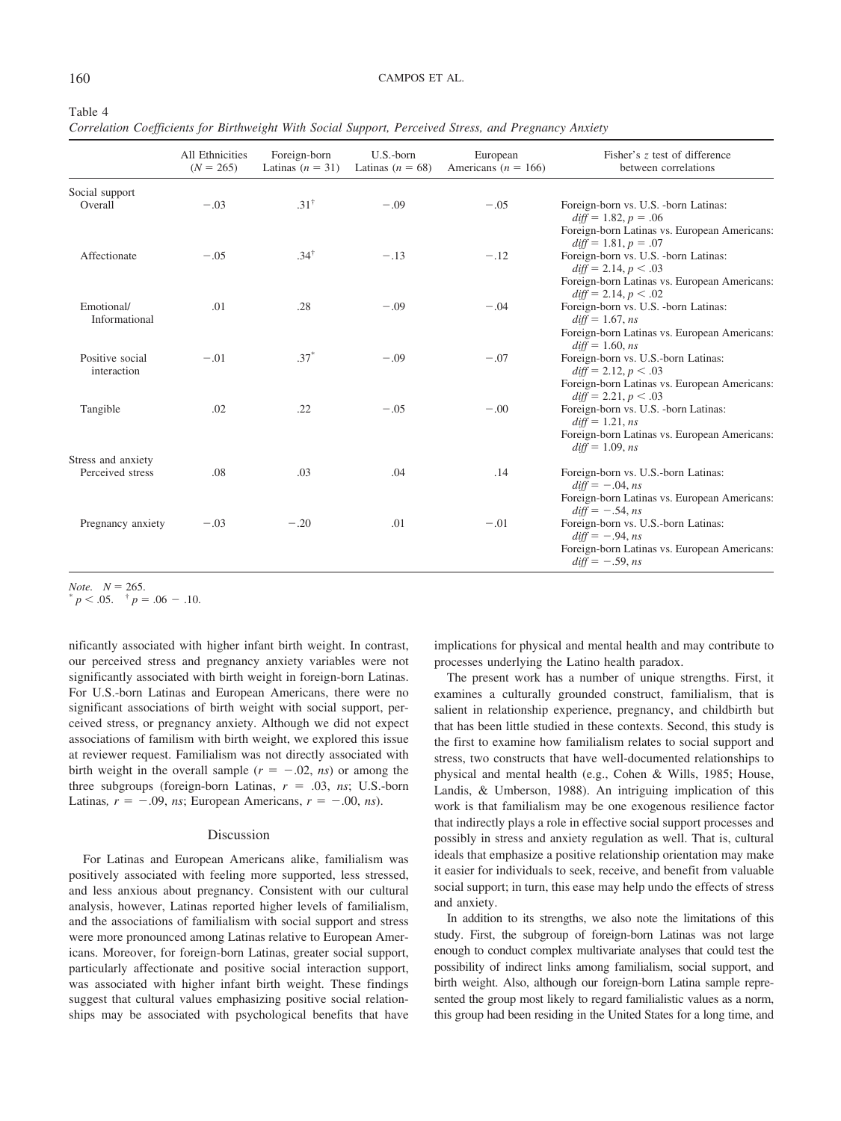Table 4

## 160 CAMPOS ET AL.

| Correlation Coefficients for Birthweight With Social Support, Perceived Stress, and Pregnancy Anxiety |                                |                                    |                                 |                                     |                                                                        |
|-------------------------------------------------------------------------------------------------------|--------------------------------|------------------------------------|---------------------------------|-------------------------------------|------------------------------------------------------------------------|
|                                                                                                       | All Ethnicities<br>$(N = 265)$ | Foreign-born<br>Latinas $(n = 31)$ | U.S.-born<br>Latinas $(n = 68)$ | European<br>Americans ( $n = 166$ ) | Fisher's $z$ test of difference<br>between correlations                |
| Social support                                                                                        |                                |                                    |                                 |                                     |                                                                        |
| Overall                                                                                               | $-.03$                         | $.31^+$                            | $-.09$                          | $-.05$                              | Foreign-born vs. U.S. - born Latinas:<br>$diff = 1.82, p = .06$        |
|                                                                                                       |                                |                                    |                                 |                                     | Foreign-born Latinas vs. European Americans:<br>$diff = 1.81, p = .07$ |
| Affectionate                                                                                          | $-.05$                         | $.34^{\dagger}$                    | $-.13$                          | $-.12$                              | Foreign-born vs. U.S. - born Latinas:<br>$diff = 2.14, p < .03$        |
|                                                                                                       |                                |                                    |                                 |                                     | Foreign-born Latinas vs. European Americans:<br>$diff = 2.14, p < .02$ |
| Emotional/<br>Informational                                                                           | .01                            | .28                                | $-.09$                          | $-.04$                              | Foreign-born vs. U.S. - born Latinas:<br>$diff = 1.67$ , ns            |
|                                                                                                       |                                |                                    |                                 |                                     | Foreign-born Latinas vs. European Americans:<br>$diff = 1.60$ , ns     |
| Positive social<br>interaction                                                                        | $-.01$                         | $.37*$                             | $-.09$                          | $-.07$                              | Foreign-born vs. U.S.-born Latinas:<br>$diff = 2.12, p < .03$          |
|                                                                                                       |                                |                                    |                                 |                                     | Foreign-born Latinas vs. European Americans:<br>$diff = 2.21, p < .03$ |
| Tangible                                                                                              | .02                            | .22                                | $-.05$                          | $-.00$                              | Foreign-born vs. U.S. - born Latinas:<br>$diff = 1.21$ , ns            |
|                                                                                                       |                                |                                    |                                 |                                     | Foreign-born Latinas vs. European Americans:<br>$diff = 1.09$ , ns     |
| Stress and anxiety                                                                                    |                                |                                    |                                 |                                     |                                                                        |
| Perceived stress                                                                                      | .08                            | .03                                | .04                             | .14                                 | Foreign-born vs. U.S.-born Latinas:<br>$diff = -.04$ , ns              |
|                                                                                                       |                                |                                    |                                 |                                     | Foreign-born Latinas vs. European Americans:<br>$diff = -.54, ns$      |
| Pregnancy anxiety                                                                                     | $-.03$                         | $-.20$                             | .01                             | $-.01$                              | Foreign-born vs. U.S.-born Latinas:<br>$diff = -.94$ , ns              |
|                                                                                                       |                                |                                    |                                 |                                     | Foreign-born Latinas vs. European Americans:                           |

*Correlation Coefficients for Birthweight With Social Support, Perceived Stress, and Pregnancy Anxiety*

nificantly associated with higher infant birth weight. In contrast, our perceived stress and pregnancy anxiety variables were not significantly associated with birth weight in foreign-born Latinas. For U.S.-born Latinas and European Americans, there were no significant associations of birth weight with social support, perceived stress, or pregnancy anxiety. Although we did not expect associations of familism with birth weight, we explored this issue at reviewer request. Familialism was not directly associated with birth weight in the overall sample  $(r = -.02, ns)$  or among the three subgroups (foreign-born Latinas,  $r = .03$ , *ns*; U.S.-born Latinas,  $r = -.09$ , *ns*; European Americans,  $r = -.00$ , *ns*).

#### Discussion

For Latinas and European Americans alike, familialism was positively associated with feeling more supported, less stressed, and less anxious about pregnancy. Consistent with our cultural analysis, however, Latinas reported higher levels of familialism, and the associations of familialism with social support and stress were more pronounced among Latinas relative to European Americans. Moreover, for foreign-born Latinas, greater social support, particularly affectionate and positive social interaction support, was associated with higher infant birth weight. These findings suggest that cultural values emphasizing positive social relationships may be associated with psychological benefits that have

implications for physical and mental health and may contribute to processes underlying the Latino health paradox.

 $di\!f\!f = -.59$ , *ns* 

The present work has a number of unique strengths. First, it examines a culturally grounded construct, familialism, that is salient in relationship experience, pregnancy, and childbirth but that has been little studied in these contexts. Second, this study is the first to examine how familialism relates to social support and stress, two constructs that have well-documented relationships to physical and mental health (e.g., Cohen & Wills, 1985; House, Landis, & Umberson, 1988). An intriguing implication of this work is that familialism may be one exogenous resilience factor that indirectly plays a role in effective social support processes and possibly in stress and anxiety regulation as well. That is, cultural ideals that emphasize a positive relationship orientation may make it easier for individuals to seek, receive, and benefit from valuable social support; in turn, this ease may help undo the effects of stress and anxiety.

In addition to its strengths, we also note the limitations of this study. First, the subgroup of foreign-born Latinas was not large enough to conduct complex multivariate analyses that could test the possibility of indirect links among familialism, social support, and birth weight. Also, although our foreign-born Latina sample represented the group most likely to regard familialistic values as a norm, this group had been residing in the United States for a long time, and

*Note.*  $N = 265$ .<br>
\*  $p < .05$ . <sup>†</sup>  $p = .06 - .10$ .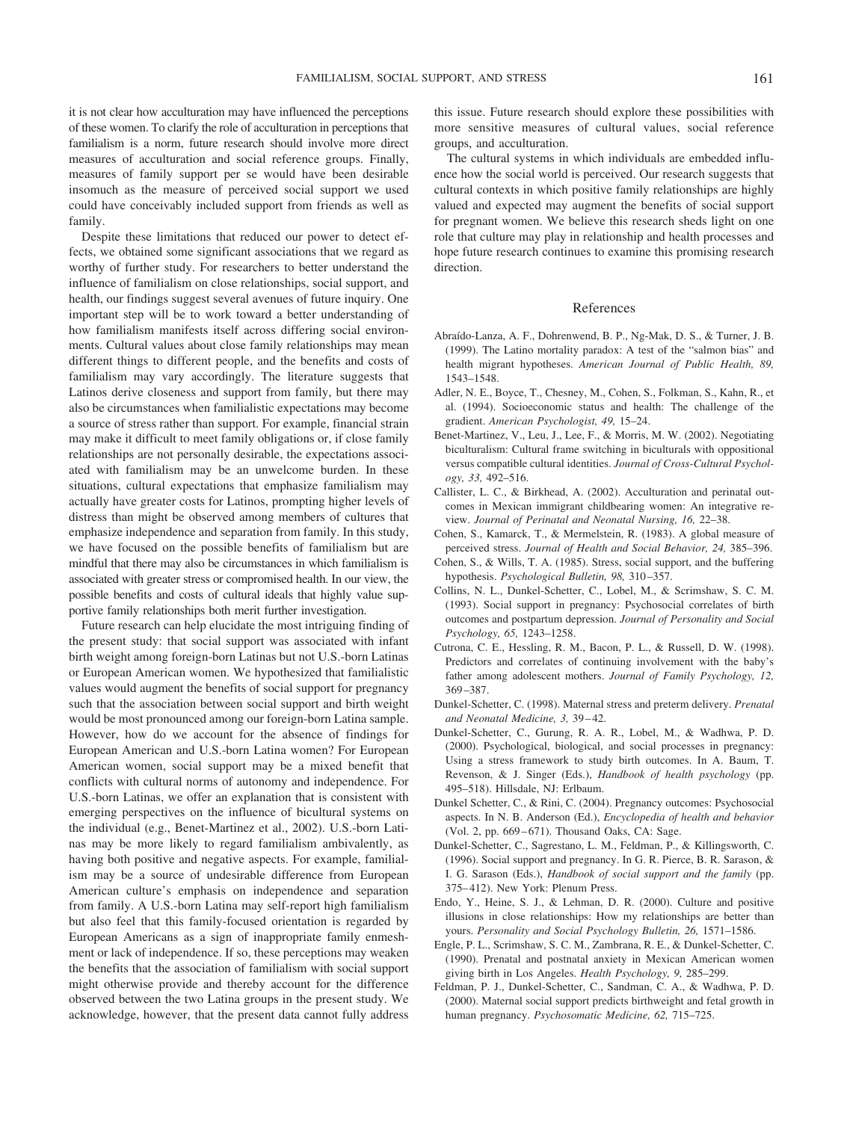it is not clear how acculturation may have influenced the perceptions of these women. To clarify the role of acculturation in perceptions that familialism is a norm, future research should involve more direct measures of acculturation and social reference groups. Finally, measures of family support per se would have been desirable insomuch as the measure of perceived social support we used could have conceivably included support from friends as well as family.

Despite these limitations that reduced our power to detect effects, we obtained some significant associations that we regard as worthy of further study. For researchers to better understand the influence of familialism on close relationships, social support, and health, our findings suggest several avenues of future inquiry. One important step will be to work toward a better understanding of how familialism manifests itself across differing social environments. Cultural values about close family relationships may mean different things to different people, and the benefits and costs of familialism may vary accordingly. The literature suggests that Latinos derive closeness and support from family, but there may also be circumstances when familialistic expectations may become a source of stress rather than support. For example, financial strain may make it difficult to meet family obligations or, if close family relationships are not personally desirable, the expectations associated with familialism may be an unwelcome burden. In these situations, cultural expectations that emphasize familialism may actually have greater costs for Latinos, prompting higher levels of distress than might be observed among members of cultures that emphasize independence and separation from family. In this study, we have focused on the possible benefits of familialism but are mindful that there may also be circumstances in which familialism is associated with greater stress or compromised health. In our view, the possible benefits and costs of cultural ideals that highly value supportive family relationships both merit further investigation.

Future research can help elucidate the most intriguing finding of the present study: that social support was associated with infant birth weight among foreign-born Latinas but not U.S.-born Latinas or European American women. We hypothesized that familialistic values would augment the benefits of social support for pregnancy such that the association between social support and birth weight would be most pronounced among our foreign-born Latina sample. However, how do we account for the absence of findings for European American and U.S.-born Latina women? For European American women, social support may be a mixed benefit that conflicts with cultural norms of autonomy and independence. For U.S.-born Latinas, we offer an explanation that is consistent with emerging perspectives on the influence of bicultural systems on the individual (e.g., Benet-Martinez et al., 2002). U.S.-born Latinas may be more likely to regard familialism ambivalently, as having both positive and negative aspects. For example, familialism may be a source of undesirable difference from European American culture's emphasis on independence and separation from family. A U.S.-born Latina may self-report high familialism but also feel that this family-focused orientation is regarded by European Americans as a sign of inappropriate family enmeshment or lack of independence. If so, these perceptions may weaken the benefits that the association of familialism with social support might otherwise provide and thereby account for the difference observed between the two Latina groups in the present study. We acknowledge, however, that the present data cannot fully address

this issue. Future research should explore these possibilities with more sensitive measures of cultural values, social reference groups, and acculturation.

The cultural systems in which individuals are embedded influence how the social world is perceived. Our research suggests that cultural contexts in which positive family relationships are highly valued and expected may augment the benefits of social support for pregnant women. We believe this research sheds light on one role that culture may play in relationship and health processes and hope future research continues to examine this promising research direction.

#### References

- Abraı´do-Lanza, A. F., Dohrenwend, B. P., Ng-Mak, D. S., & Turner, J. B. (1999). The Latino mortality paradox: A test of the "salmon bias" and health migrant hypotheses. *American Journal of Public Health, 89,* 1543–1548.
- Adler, N. E., Boyce, T., Chesney, M., Cohen, S., Folkman, S., Kahn, R., et al. (1994). Socioeconomic status and health: The challenge of the gradient. *American Psychologist, 49,* 15–24.
- Benet-Martinez, V., Leu, J., Lee, F., & Morris, M. W. (2002). Negotiating biculturalism: Cultural frame switching in biculturals with oppositional versus compatible cultural identities. *Journal of Cross-Cultural Psychology, 33,* 492–516.
- Callister, L. C., & Birkhead, A. (2002). Acculturation and perinatal outcomes in Mexican immigrant childbearing women: An integrative review. *Journal of Perinatal and Neonatal Nursing, 16,* 22–38.
- Cohen, S., Kamarck, T., & Mermelstein, R. (1983). A global measure of perceived stress. *Journal of Health and Social Behavior, 24,* 385–396.
- Cohen, S., & Wills, T. A. (1985). Stress, social support, and the buffering hypothesis. *Psychological Bulletin, 98,* 310–357.
- Collins, N. L., Dunkel-Schetter, C., Lobel, M., & Scrimshaw, S. C. M. (1993). Social support in pregnancy: Psychosocial correlates of birth outcomes and postpartum depression. *Journal of Personality and Social Psychology, 65,* 1243–1258.
- Cutrona, C. E., Hessling, R. M., Bacon, P. L., & Russell, D. W. (1998). Predictors and correlates of continuing involvement with the baby's father among adolescent mothers. *Journal of Family Psychology, 12,* 369–387.
- Dunkel-Schetter, C. (1998). Maternal stress and preterm delivery. *Prenatal and Neonatal Medicine, 3,* 39–42.
- Dunkel-Schetter, C., Gurung, R. A. R., Lobel, M., & Wadhwa, P. D. (2000). Psychological, biological, and social processes in pregnancy: Using a stress framework to study birth outcomes. In A. Baum, T. Revenson, & J. Singer (Eds.), *Handbook of health psychology* (pp. 495–518). Hillsdale, NJ: Erlbaum.
- Dunkel Schetter, C., & Rini, C. (2004). Pregnancy outcomes: Psychosocial aspects. In N. B. Anderson (Ed.), *Encyclopedia of health and behavior* (Vol. 2, pp. 669–671). Thousand Oaks, CA: Sage.
- Dunkel-Schetter, C., Sagrestano, L. M., Feldman, P., & Killingsworth, C. (1996). Social support and pregnancy. In G. R. Pierce, B. R. Sarason, & I. G. Sarason (Eds.), *Handbook of social support and the family* (pp. 375–412). New York: Plenum Press.
- Endo, Y., Heine, S. J., & Lehman, D. R. (2000). Culture and positive illusions in close relationships: How my relationships are better than yours. *Personality and Social Psychology Bulletin, 26,* 1571–1586.
- Engle, P. L., Scrimshaw, S. C. M., Zambrana, R. E., & Dunkel-Schetter, C. (1990). Prenatal and postnatal anxiety in Mexican American women giving birth in Los Angeles. *Health Psychology, 9,* 285–299.
- Feldman, P. J., Dunkel-Schetter, C., Sandman, C. A., & Wadhwa, P. D. (2000). Maternal social support predicts birthweight and fetal growth in human pregnancy. *Psychosomatic Medicine, 62,* 715–725.